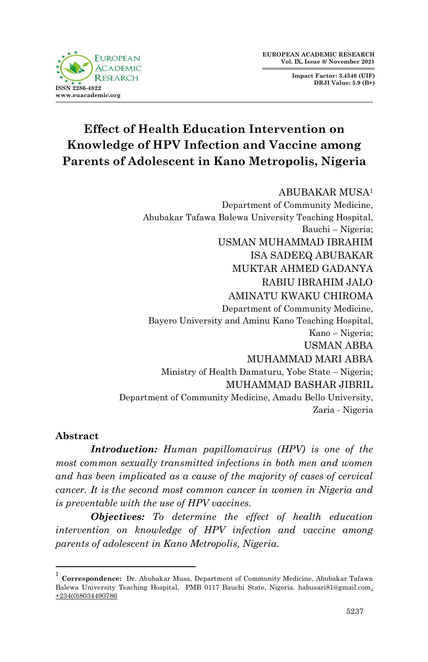**Impact Factor: 3.4546 (UIF) DRJI Value: 5.9 (B+)**



# **Effect of Health Education Intervention on Knowledge of HPV Infection and Vaccine among Parents of Adolescent in Kano Metropolis, Nigeria**

#### ABUBAKAR MUSA<sup>1</sup>

Department of Community Medicine, Abubakar Tafawa Balewa University Teaching Hospital, Bauchi – Nigeria; USMAN MUHAMMAD IBRAHIM ISA SADEEQ ABUBAKAR MUKTAR AHMED GADANYA RABIU IBRAHIM JALO AMINATU KWAKU CHIROMA Department of Community Medicine, Bayero University and Aminu Kano Teaching Hospital, Kano – Nigeria; USMAN ABBA MUHAMMAD MARI ABBA Ministry of Health Damaturu, Yobe State – Nigeria; MUHAMMAD BASHAR JIBRIL Department of Community Medicine, Amadu Bello University, Zaria - Nigeria

#### **Abstract**

1

*Introduction: Human papillomavirus (HPV) is one of the most common sexually transmitted infections in both men and women and has been implicated as a cause of the majority of cases of cervical cancer. It is the second most common cancer in women in Nigeria and is preventable with the use of HPV vaccines.* 

*Objectives: To determine the effect of health education intervention on knowledge of HPV infection and vaccine among parents of adolescent in Kano Metropolis, Nigeria.* 

<sup>1</sup> **Correspondence:** Dr. Abubakar Musa, Department of Community Medicine, Abubakar Tafawa Balewa University Teaching Hospital, PMB 0117 Bauchi State, Nigeria. habusari81@gmail.com, +234(0)8034490786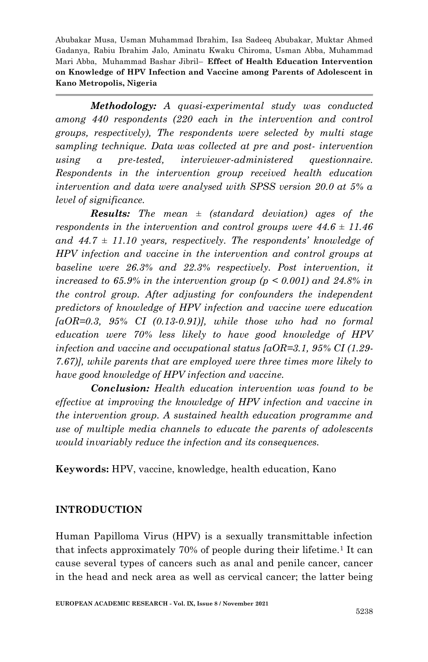*Methodology: A quasi-experimental study was conducted among 440 respondents (220 each in the intervention and control groups, respectively), The respondents were selected by multi stage sampling technique. Data was collected at pre and post- intervention using a pre-tested, interviewer-administered questionnaire. Respondents in the intervention group received health education intervention and data were analysed with SPSS version 20.0 at 5% α level of significance.*

*Results: The mean ± (standard deviation) ages of the respondents in the intervention and control groups were 44.6 ± 11.46 and 44.7 ± 11.10 years, respectively. The respondents' knowledge of HPV infection and vaccine in the intervention and control groups at baseline were 26.3% and 22.3% respectively. Post intervention, it increased to 65.9% in the intervention group*  $(p \le 0.001)$  *and 24.8% in the control group. After adjusting for confounders the independent predictors of knowledge of HPV infection and vaccine were education [aOR=0.3, 95% CI (0.13-0.91)], while those who had no formal education were 70% less likely to have good knowledge of HPV infection and vaccine and occupational status [aOR=3.1, 95% CI (1.29- 7.67)], while parents that are employed were three times more likely to have good knowledge of HPV infection and vaccine.* 

*Conclusion: Health education intervention was found to be effective at improving the knowledge of HPV infection and vaccine in the intervention group. A sustained health education programme and use of multiple media channels to educate the parents of adolescents would invariably reduce the infection and its consequences.* 

**Keywords:** HPV, vaccine, knowledge, health education, Kano

## **INTRODUCTION**

Human Papilloma Virus (HPV) is a sexually transmittable infection that infects approximately  $70\%$  of people during their lifetime.<sup>1</sup> It can cause several types of cancers such as anal and penile cancer, cancer in the head and neck area as well as cervical cancer; the latter being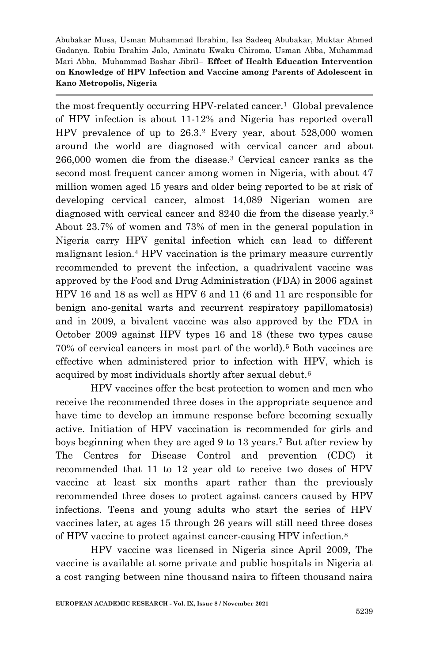the most frequently occurring HPV-related cancer.<sup>1</sup> Global prevalence of HPV infection is about 11-12% and Nigeria has reported overall HPV prevalence of up to 26.3.<sup>2</sup> Every year, about 528,000 women around the world are diagnosed with cervical cancer and about 266,000 women die from the disease.<sup>3</sup> Cervical cancer ranks as the second most frequent cancer among women in Nigeria, with about 47 million women aged 15 years and older being reported to be at risk of developing cervical cancer, almost 14,089 Nigerian women are diagnosed with cervical cancer and 8240 die from the disease yearly.<sup>3</sup> About 23.7% of women and 73% of men in the general population in Nigeria carry HPV genital infection which can lead to different malignant lesion.<sup>4</sup> HPV vaccination is the primary measure currently recommended to prevent the infection, a quadrivalent vaccine was approved by the Food and Drug Administration (FDA) in 2006 against HPV 16 and 18 as well as HPV 6 and 11 (6 and 11 are responsible for benign ano-genital warts and recurrent respiratory papillomatosis) and in 2009, a bivalent vaccine was also approved by the FDA in October 2009 against HPV types 16 and 18 (these two types cause 70% of cervical cancers in most part of the world).<sup>5</sup> Both vaccines are effective when administered prior to infection with HPV, which is acquired by most individuals shortly after sexual debut.<sup>6</sup>

HPV vaccines offer the best protection to women and men who receive the recommended three doses in the appropriate sequence and have time to develop an immune response before becoming sexually active. Initiation of HPV vaccination is recommended for girls and boys beginning when they are aged 9 to 13 years.<sup>7</sup> But after review by The Centres for Disease Control and prevention (CDC) it recommended that 11 to 12 year old to receive two doses of HPV vaccine at least six months apart rather than the previously recommended three doses to protect against cancers caused by HPV infections. Teens and young adults who start the series of HPV vaccines later, at ages 15 through 26 years will still need three doses of HPV vaccine to protect against cancer-causing HPV infection.<sup>8</sup>

HPV vaccine was licensed in Nigeria since April 2009, The vaccine is available at some private and public hospitals in Nigeria at a cost ranging between nine thousand naira to fifteen thousand naira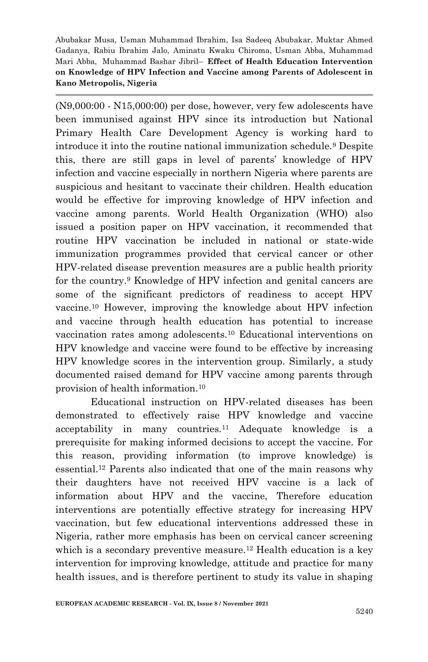(N9,000:00 - N15,000:00) per dose, however, very few adolescents have been immunised against HPV since its introduction but National Primary Health Care Development Agency is working hard to introduce it into the routine national immunization schedule.<sup>9</sup> Despite this, there are still gaps in level of parents' knowledge of HPV infection and vaccine especially in northern Nigeria where parents are suspicious and hesitant to vaccinate their children. Health education would be effective for improving knowledge of HPV infection and vaccine among parents. World Health Organization (WHO) also issued a position paper on HPV vaccination, it recommended that routine HPV vaccination be included in national or state-wide immunization programmes provided that cervical cancer or other HPV-related disease prevention measures are a public health priority for the country.<sup>9</sup> Knowledge of HPV infection and genital cancers are some of the significant predictors of readiness to accept HPV vaccine.<sup>10</sup> However, improving the knowledge about HPV infection and vaccine through health education has potential to increase vaccination rates among adolescents.<sup>10</sup> Educational interventions on HPV knowledge and vaccine were found to be effective by increasing HPV knowledge scores in the intervention group. Similarly, a study documented raised demand for HPV vaccine among parents through provision of health information.<sup>10</sup>

Educational instruction on HPV-related diseases has been demonstrated to effectively raise HPV knowledge and vaccine acceptability in many countries.<sup>11</sup> Adequate knowledge is a prerequisite for making informed decisions to accept the vaccine. For this reason, providing information (to improve knowledge) is essential.<sup>12</sup> Parents also indicated that one of the main reasons why their daughters have not received HPV vaccine is a lack of information about HPV and the vaccine, Therefore education interventions are potentially effective strategy for increasing HPV vaccination, but few educational interventions addressed these in Nigeria, rather more emphasis has been on cervical cancer screening which is a secondary preventive measure.<sup>12</sup> Health education is a key intervention for improving knowledge, attitude and practice for many health issues, and is therefore pertinent to study its value in shaping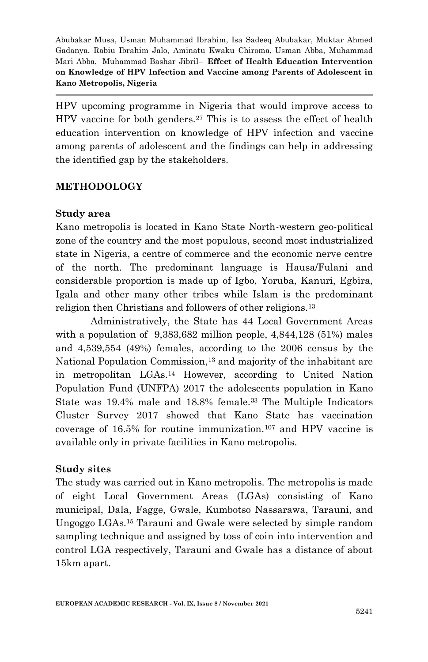HPV upcoming programme in Nigeria that would improve access to HPV vaccine for both genders.<sup>27</sup> This is to assess the effect of health education intervention on knowledge of HPV infection and vaccine among parents of adolescent and the findings can help in addressing the identified gap by the stakeholders.

## **METHODOLOGY**

#### **Study area**

Kano metropolis is located in Kano State North-western geo-political zone of the country and the most populous, second most industrialized state in Nigeria, a centre of commerce and the economic nerve centre of the north. The predominant language is Hausa/Fulani and considerable proportion is made up of Igbo, Yoruba, Kanuri, Egbira, Igala and other many other tribes while Islam is the predominant religion then Christians and followers of other religions.<sup>13</sup>

Administratively, the State has 44 Local Government Areas with a population of  $9,383,682$  million people,  $4,844,128$  (51%) males and 4,539,554 (49%) females, according to the 2006 census by the National Population Commission,<sup>13</sup> and majority of the inhabitant are in metropolitan LGAs.<sup>14</sup> However, according to United Nation Population Fund (UNFPA) 2017 the adolescents population in Kano State was 19.4% male and 18.8% female.<sup>33</sup> The Multiple Indicators Cluster Survey 2017 showed that Kano State has vaccination coverage of  $16.5\%$  for routine immunization.<sup>107</sup> and HPV vaccine is available only in private facilities in Kano metropolis.

## **Study sites**

The study was carried out in Kano metropolis. The metropolis is made of eight Local Government Areas (LGAs) consisting of Kano municipal, Dala, Fagge, Gwale, Kumbotso Nassarawa, Tarauni, and Ungoggo LGAs.<sup>15</sup> Tarauni and Gwale were selected by simple random sampling technique and assigned by toss of coin into intervention and control LGA respectively, Tarauni and Gwale has a distance of about 15km apart.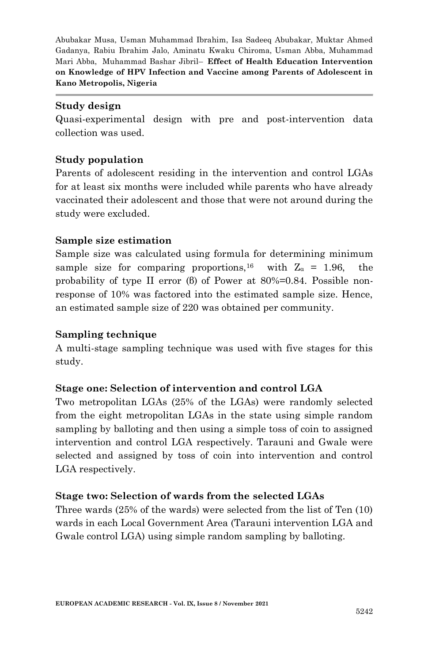#### **Study design**

Quasi-experimental design with pre and post-intervention data collection was used.

## **Study population**

Parents of adolescent residing in the intervention and control LGAs for at least six months were included while parents who have already vaccinated their adolescent and those that were not around during the study were excluded.

## **Sample size estimation**

Sample size was calculated using formula for determining minimum sample size for comparing proportions,<sup>16</sup> with  $Z_a = 1.96$ , the probability of type II error (β) of Power at 80%=0.84. Possible nonresponse of 10% was factored into the estimated sample size. Hence, an estimated sample size of 220 was obtained per community.

## **Sampling technique**

A multi-stage sampling technique was used with five stages for this study.

## **Stage one: Selection of intervention and control LGA**

Two metropolitan LGAs (25% of the LGAs) were randomly selected from the eight metropolitan LGAs in the state using simple random sampling by balloting and then using a simple toss of coin to assigned intervention and control LGA respectively. Tarauni and Gwale were selected and assigned by toss of coin into intervention and control LGA respectively.

## **Stage two: Selection of wards from the selected LGAs**

Three wards (25% of the wards) were selected from the list of Ten (10) wards in each Local Government Area (Tarauni intervention LGA and Gwale control LGA) using simple random sampling by balloting.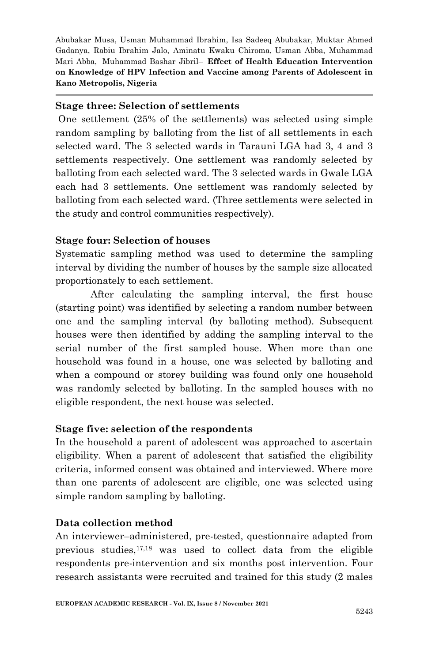#### **Stage three: Selection of settlements**

One settlement (25% of the settlements) was selected using simple random sampling by balloting from the list of all settlements in each selected ward. The 3 selected wards in Tarauni LGA had 3, 4 and 3 settlements respectively. One settlement was randomly selected by balloting from each selected ward. The 3 selected wards in Gwale LGA each had 3 settlements. One settlement was randomly selected by balloting from each selected ward. (Three settlements were selected in the study and control communities respectively).

## **Stage four: Selection of houses**

Systematic sampling method was used to determine the sampling interval by dividing the number of houses by the sample size allocated proportionately to each settlement.

After calculating the sampling interval, the first house (starting point) was identified by selecting a random number between one and the sampling interval (by balloting method). Subsequent houses were then identified by adding the sampling interval to the serial number of the first sampled house. When more than one household was found in a house, one was selected by balloting and when a compound or storey building was found only one household was randomly selected by balloting. In the sampled houses with no eligible respondent, the next house was selected.

## **Stage five: selection of the respondents**

In the household a parent of adolescent was approached to ascertain eligibility. When a parent of adolescent that satisfied the eligibility criteria, informed consent was obtained and interviewed. Where more than one parents of adolescent are eligible, one was selected using simple random sampling by balloting.

## **Data collection method**

An interviewer–administered, pre-tested, questionnaire adapted from previous studies,  $17,18$  was used to collect data from the eligible respondents pre-intervention and six months post intervention. Four research assistants were recruited and trained for this study (2 males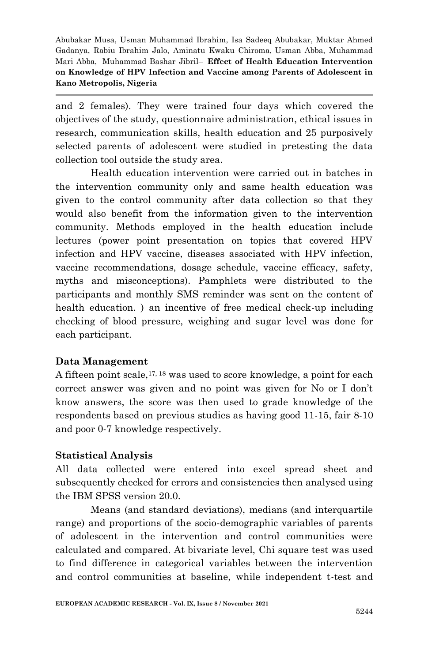and 2 females). They were trained four days which covered the objectives of the study, questionnaire administration, ethical issues in research, communication skills, health education and 25 purposively selected parents of adolescent were studied in pretesting the data collection tool outside the study area.

Health education intervention were carried out in batches in the intervention community only and same health education was given to the control community after data collection so that they would also benefit from the information given to the intervention community. Methods employed in the health education include lectures (power point presentation on topics that covered HPV infection and HPV vaccine, diseases associated with HPV infection, vaccine recommendations, dosage schedule, vaccine efficacy, safety, myths and misconceptions). Pamphlets were distributed to the participants and monthly SMS reminder was sent on the content of health education. ) an incentive of free medical check-up including checking of blood pressure, weighing and sugar level was done for each participant.

## **Data Management**

A fifteen point scale,  $17, 18$  was used to score knowledge, a point for each correct answer was given and no point was given for No or I don't know answers, the score was then used to grade knowledge of the respondents based on previous studies as having good 11-15, fair 8-10 and poor 0-7 knowledge respectively.

## **Statistical Analysis**

All data collected were entered into excel spread sheet and subsequently checked for errors and consistencies then analysed using the IBM SPSS version 20.0.

Means (and standard deviations), medians (and interquartile range) and proportions of the socio-demographic variables of parents of adolescent in the intervention and control communities were calculated and compared. At bivariate level, Chi square test was used to find difference in categorical variables between the intervention and control communities at baseline, while independent t-test and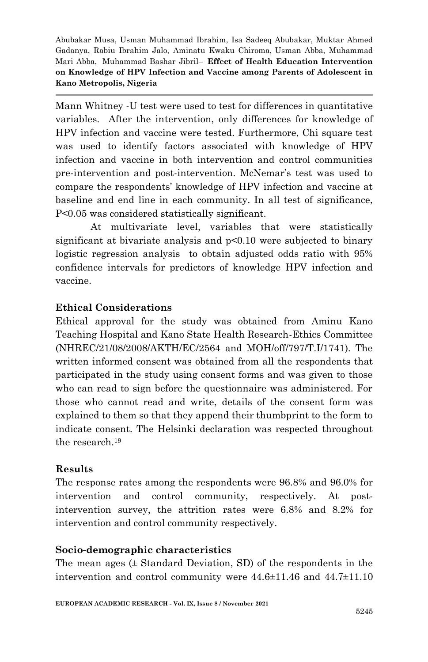Mann Whitney -U test were used to test for differences in quantitative variables. After the intervention, only differences for knowledge of HPV infection and vaccine were tested. Furthermore, Chi square test was used to identify factors associated with knowledge of HPV infection and vaccine in both intervention and control communities pre-intervention and post-intervention. McNemar's test was used to compare the respondents' knowledge of HPV infection and vaccine at baseline and end line in each community. In all test of significance, P<0.05 was considered statistically significant.

At multivariate level, variables that were statistically significant at bivariate analysis and p<0.10 were subjected to binary logistic regression analysis to obtain adjusted odds ratio with 95% confidence intervals for predictors of knowledge HPV infection and vaccine.

## **Ethical Considerations**

Ethical approval for the study was obtained from Aminu Kano Teaching Hospital and Kano State Health Research-Ethics Committee (NHREC/21/08/2008/AKTH/EC/2564 and MOH/off/797/T.I/1741). The written informed consent was obtained from all the respondents that participated in the study using consent forms and was given to those who can read to sign before the questionnaire was administered. For those who cannot read and write, details of the consent form was explained to them so that they append their thumbprint to the form to indicate consent. The Helsinki declaration was respected throughout the research.<sup>19</sup>

## **Results**

The response rates among the respondents were 96.8% and 96.0% for intervention and control community, respectively. At postintervention survey, the attrition rates were 6.8% and 8.2% for intervention and control community respectively.

## **Socio-demographic characteristics**

The mean ages  $(± Standard Deviation, SD)$  of the respondents in the intervention and control community were 44.6±11.46 and 44.7±11.10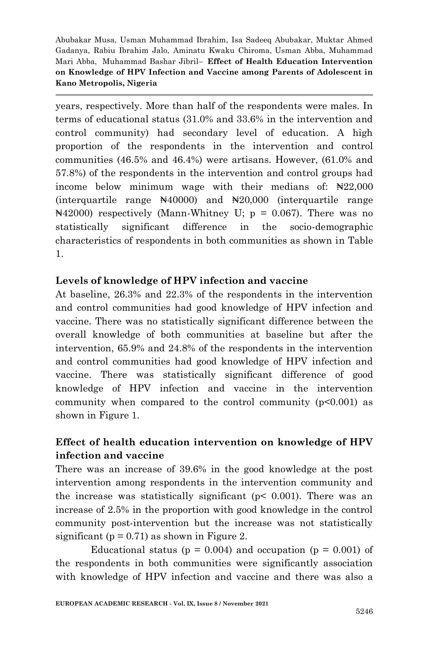years, respectively. More than half of the respondents were males. In terms of educational status (31.0% and 33.6% in the intervention and control community) had secondary level of education. A high proportion of the respondents in the intervention and control communities (46.5% and 46.4%) were artisans. However, (61.0% and 57.8%) of the respondents in the intervention and control groups had income below minimum wage with their medians of: ₦22,000 (interquartile range ₦40000) and ₦20,000 (interquartile range  $\text{N42000}$  respectively (Mann-Whitney U; p = 0.067). There was no statistically significant difference in the socio-demographic characteristics of respondents in both communities as shown in Table 1.

## **Levels of knowledge of HPV infection and vaccine**

At baseline, 26.3% and 22.3% of the respondents in the intervention and control communities had good knowledge of HPV infection and vaccine. There was no statistically significant difference between the overall knowledge of both communities at baseline but after the intervention, 65.9% and 24.8% of the respondents in the intervention and control communities had good knowledge of HPV infection and vaccine. There was statistically significant difference of good knowledge of HPV infection and vaccine in the intervention community when compared to the control community  $(p<0.001)$  as shown in Figure 1.

# **Effect of health education intervention on knowledge of HPV infection and vaccine**

There was an increase of 39.6% in the good knowledge at the post intervention among respondents in the intervention community and the increase was statistically significant ( $p$ < 0.001). There was an increase of 2.5% in the proportion with good knowledge in the control community post-intervention but the increase was not statistically significant ( $p = 0.71$ ) as shown in Figure 2.

Educational status ( $p = 0.004$ ) and occupation ( $p = 0.001$ ) of the respondents in both communities were significantly association with knowledge of HPV infection and vaccine and there was also a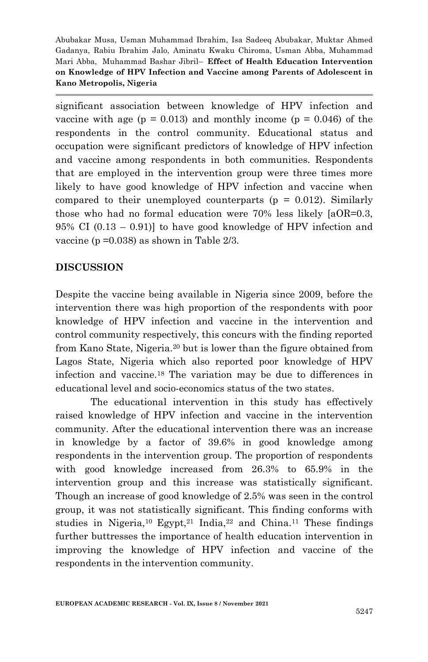significant association between knowledge of HPV infection and vaccine with age ( $p = 0.013$ ) and monthly income ( $p = 0.046$ ) of the respondents in the control community. Educational status and occupation were significant predictors of knowledge of HPV infection and vaccine among respondents in both communities. Respondents that are employed in the intervention group were three times more likely to have good knowledge of HPV infection and vaccine when compared to their unemployed counterparts  $(p = 0.012)$ . Similarly those who had no formal education were 70% less likely [aOR=0.3, 95% CI (0.13 – 0.91)] to have good knowledge of HPV infection and vaccine (p =0.038) as shown in Table 2/3.

## **DISCUSSION**

Despite the vaccine being available in Nigeria since 2009, before the intervention there was high proportion of the respondents with poor knowledge of HPV infection and vaccine in the intervention and control community respectively, this concurs with the finding reported from Kano State, Nigeria.<sup>20</sup> but is lower than the figure obtained from Lagos State, Nigeria which also reported poor knowledge of HPV infection and vaccine.<sup>18</sup> The variation may be due to differences in educational level and socio-economics status of the two states.

The educational intervention in this study has effectively raised knowledge of HPV infection and vaccine in the intervention community. After the educational intervention there was an increase in knowledge by a factor of 39.6% in good knowledge among respondents in the intervention group. The proportion of respondents with good knowledge increased from 26.3% to 65.9% in the intervention group and this increase was statistically significant. Though an increase of good knowledge of 2.5% was seen in the control group, it was not statistically significant. This finding conforms with studies in Nigeria,<sup>10</sup> Egypt,<sup>21</sup> India,<sup>22</sup> and China.<sup>11</sup> These findings further buttresses the importance of health education intervention in improving the knowledge of HPV infection and vaccine of the respondents in the intervention community.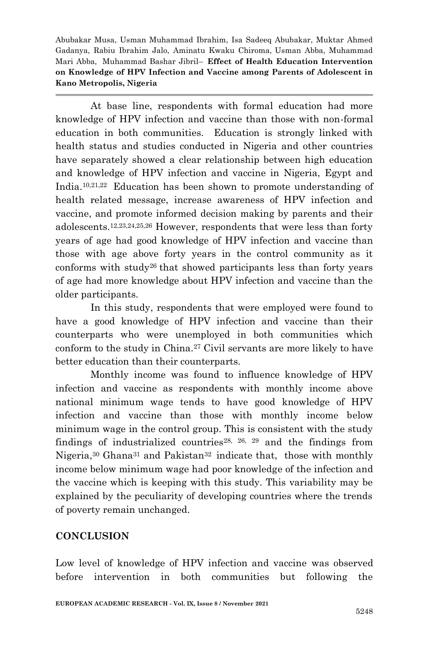At base line, respondents with formal education had more knowledge of HPV infection and vaccine than those with non-formal education in both communities. Education is strongly linked with health status and studies conducted in Nigeria and other countries have separately showed a clear relationship between high education and knowledge of HPV infection and vaccine in Nigeria, Egypt and India.10,21,22 Education has been shown to promote understanding of health related message, increase awareness of HPV infection and vaccine, and promote informed decision making by parents and their adolescents.12,23,24,25,26 However, respondents that were less than forty years of age had good knowledge of HPV infection and vaccine than those with age above forty years in the control community as it conforms with study26 that showed participants less than forty years of age had more knowledge about HPV infection and vaccine than the older participants.

In this study, respondents that were employed were found to have a good knowledge of HPV infection and vaccine than their counterparts who were unemployed in both communities which conform to the study in China.<sup>27</sup> Civil servants are more likely to have better education than their counterparts.

Monthly income was found to influence knowledge of HPV infection and vaccine as respondents with monthly income above national minimum wage tends to have good knowledge of HPV infection and vaccine than those with monthly income below minimum wage in the control group. This is consistent with the study findings of industrialized countries<sup>28, 26, 29</sup> and the findings from Nigeria,<sup>30</sup> Ghana<sup>31</sup> and Pakistan<sup>32</sup> indicate that, those with monthly income below minimum wage had poor knowledge of the infection and the vaccine which is keeping with this study. This variability may be explained by the peculiarity of developing countries where the trends of poverty remain unchanged.

## **CONCLUSION**

Low level of knowledge of HPV infection and vaccine was observed before intervention in both communities but following the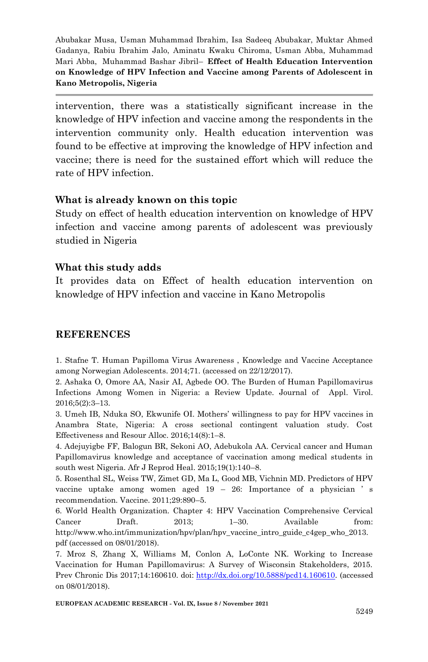intervention, there was a statistically significant increase in the knowledge of HPV infection and vaccine among the respondents in the intervention community only. Health education intervention was found to be effective at improving the knowledge of HPV infection and vaccine; there is need for the sustained effort which will reduce the rate of HPV infection.

#### **What is already known on this topic**

Study on effect of health education intervention on knowledge of HPV infection and vaccine among parents of adolescent was previously studied in Nigeria

## **What this study adds**

It provides data on Effect of health education intervention on knowledge of HPV infection and vaccine in Kano Metropolis

## **REFERENCES**

1. Stafne T. Human Papilloma Virus Awareness , Knowledge and Vaccine Acceptance among Norwegian Adolescents. 2014;71. (accessed on 22/12/2017).

2. Ashaka O, Omore AA, Nasir AI, Agbede OO. The Burden of Human Papillomavirus Infections Among Women in Nigeria: a Review Update. Journal of Appl. Virol. 2016;5(2):3–13.

3. Umeh IB, Nduka SO, Ekwunife OI. Mothers' willingness to pay for HPV vaccines in Anambra State, Nigeria: A cross sectional contingent valuation study. Cost Effectiveness and Resour Alloc. 2016;14(8):1–8.

4. Adejuyigbe FF, Balogun BR, Sekoni AO, Adebukola AA. Cervical cancer and Human Papillomavirus knowledge and acceptance of vaccination among medical students in south west Nigeria. Afr J Reprod Heal. 2015;19(1):140–8.

5. Rosenthal SL, Weiss TW, Zimet GD, Ma L, Good MB, Vichnin MD. Predictors of HPV vaccine uptake among women aged 19 – 26: Importance of a physician ' s recommendation. Vaccine. 2011;29:890–5.

6. World Health Organization. Chapter 4: HPV Vaccination Comprehensive Cervical Cancer Draft. 2013; 1–30. Available from: http://www.who.int/immunization/hpv/plan/hpv\_vaccine\_intro\_guide\_c4gep\_who\_2013. pdf (accessed on 08/01/2018).

7. Mroz S, Zhang X, Williams M, Conlon A, LoConte NK. Working to Increase Vaccination for Human Papillomavirus: A Survey of Wisconsin Stakeholders, 2015. Prev Chronic Dis 2017;14:160610. doi: [http://dx.doi.org/10.5888/pcd14.160610.](http://dx.doi.org/10.5888/pcd14.160610) (accessed on 08/01/2018).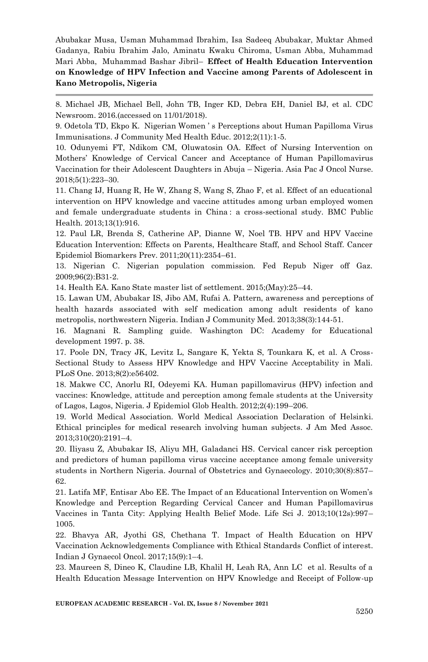8. Michael JB, Michael Bell, John TB, Inger KD, Debra EH, Daniel BJ, et al. CDC Newsroom. 2016.(accessed on 11/01/2018).

9. Odetola TD, Ekpo K. Nigerian Women ' s Perceptions about Human Papilloma Virus Immunisations. J Community Med Health Educ. 2012;2(11):1-5.

10. Odunyemi FT, Ndikom CM, Oluwatosin OA. Effect of Nursing Intervention on Mothers' Knowledge of Cervical Cancer and Acceptance of Human Papillomavirus Vaccination for their Adolescent Daughters in Abuja – Nigeria. Asia Pac J Oncol Nurse. 2018;5(1):223–30.

11. Chang IJ, Huang R, He W, Zhang S, Wang S, Zhao F, et al. Effect of an educational intervention on HPV knowledge and vaccine attitudes among urban employed women and female undergraduate students in China : a cross-sectional study. BMC Public Health. 2013;13(1):916.

12. Paul LR, Brenda S, Catherine AP, Dianne W, Noel TB. HPV and HPV Vaccine Education Intervention: Effects on Parents, Healthcare Staff, and School Staff. Cancer Epidemiol Biomarkers Prev. 2011;20(11):2354–61.

13. Nigerian C. Nigerian population commission. Fed Repub Niger off Gaz. 2009;96(2):B31-2.

14. Health EA. Kano State master list of settlement. 2015;(May):25–44.

15. Lawan UM, Abubakar IS, Jibo AM, Rufai A. Pattern, awareness and perceptions of health hazards associated with self medication among adult residents of kano metropolis, northwestern Nigeria. Indian J Community Med. 2013;38(3):144-51.

16. Magnani R. Sampling guide. Washington DC: Academy for Educational development 1997. p. 38.

17. Poole DN, Tracy JK, Levitz L, Sangare K, Yekta S, Tounkara K, et al. A Cross-Sectional Study to Assess HPV Knowledge and HPV Vaccine Acceptability in Mali. PLoS One. 2013;8(2):e56402.

18. Makwe CC, Anorlu RI, Odeyemi KA. Human papillomavirus (HPV) infection and vaccines: Knowledge, attitude and perception among female students at the University of Lagos, Lagos, Nigeria. J Epidemiol Glob Health. 2012;2(4):199–206.

19. World Medical Association. World Medical Association Declaration of Helsinki. Ethical principles for medical research involving human subjects. J Am Med Assoc. 2013;310(20):2191–4.

20. Iliyasu Z, Abubakar IS, Aliyu MH, Galadanci HS. Cervical cancer risk perception and predictors of human papilloma virus vaccine acceptance among female university students in Northern Nigeria. Journal of Obstetrics and Gynaecology. 2010;30(8):857– 62.

21. Latifa MF, Entisar Abo EE. The Impact of an Educational Intervention on Women's Knowledge and Perception Regarding Cervical Cancer and Human Papillomavirus Vaccines in Tanta City: Applying Health Belief Mode. Life Sci J. 2013;10(12s):997– 1005.

22. Bhavya AR, Jyothi GS, Chethana T. Impact of Health Education on HPV Vaccination Acknowledgements Compliance with Ethical Standards Conflict of interest. Indian J Gynaecol Oncol. 2017;15(9):1–4.

23. Maureen S, Dineo K, Claudine LB, Khalil H, Leah RA, Ann LC et al. Results of a Health Education Message Intervention on HPV Knowledge and Receipt of Follow-up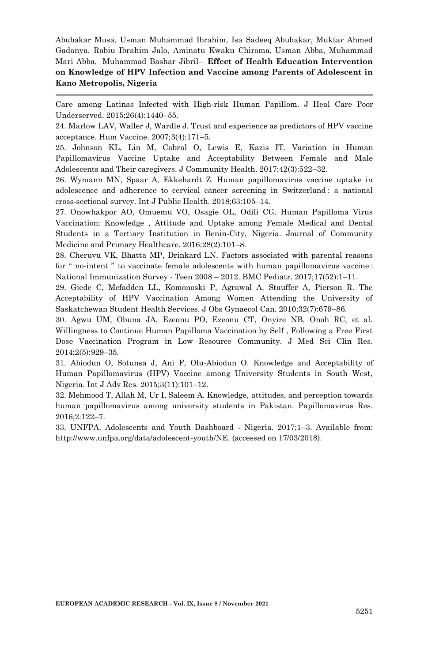Care among Latinas Infected with High-risk Human Papillom. J Heal Care Poor Underserved. 2015;26(4):1440–55.

24. Marlow LAV, Waller J, Wardle J. Trust and experience as predictors of HPV vaccine acceptance. Hum Vaccine. 2007;3(4):171–5.

25. Johnson KL, Lin M, Cabral O, Lewis E, Kazis IT. Variation in Human Papillomavirus Vaccine Uptake and Acceptability Between Female and Male Adolescents and Their caregivers. J Community Health. 2017;42(3):522–32.

26. Wymann MN, Spaar A, Ekkehardt Z. Human papillomavirus vaccine uptake in adolescence and adherence to cervical cancer screening in Switzerland : a national cross-sectional survey. Int J Public Health. 2018;63:105–14.

27. Onowhakpor AO, Omuemu VO, Osagie OL, Odili CG. Human Papilloma Virus Vaccination: Knowledge , Attitude and Uptake among Female Medical and Dental Students in a Tertiary Institution in Benin-City, Nigeria. Journal of Community Medicine and Primary Healthcare. 2016;28(2):101–8.

28. Cheruvu VK, Bhatta MP, Drinkard LN. Factors associated with parental reasons for " no-intent " to vaccinate female adolescents with human papillomavirus vaccine : National Immunization Survey - Teen 2008 – 2012. BMC Pediatr. 2017;17(52):1–11.

29. Giede C, Mcfadden LL, Komonoski P, Agrawal A, Stauffer A, Pierson R. The Acceptability of HPV Vaccination Among Women Attending the University of Saskatchewan Student Health Services. J Obs Gynaecol Can. 2010;32(7):679–86.

30. Agwu UM, Obuna JA, Ezeonu PO, Ezeonu CT, Onyire NB, Onoh RC, et al. Willingness to Continue Human Papilloma Vaccination by Self , Following a Free First Dose Vaccination Program in Low Resource Community. J Med Sci Clin Res. 2014;2(5):929–35.

31. Abiodun O, Sotunsa J, Ani F, Olu-Abiodun O. Knowledge and Acceptability of Human Papillomavirus (HPV) Vaccine among University Students in South West, Nigeria. Int J Adv Res. 2015;3(11):101–12.

32. Mehmood T, Allah M, Ur I, Saleem A. Knowledge, attitudes, and perception towards human papillomavirus among university students in Pakistan. Papillomavirus Res. 2016;2:122–7.

33. UNFPA. Adolescents and Youth Dashboard - Nigeria. 2017;1–3. Available from: http://www.unfpa.org/data/adolescent-youth/NE. (accessed on 17/03/2018).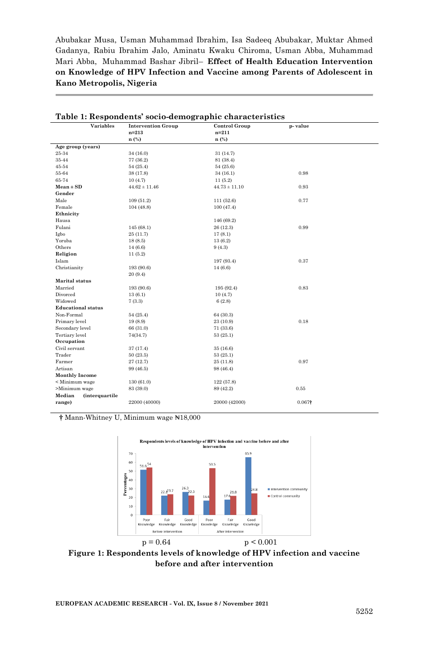| Variables                        | <b>Intervention Group</b> | <b>Control Group</b> | p-value |  |
|----------------------------------|---------------------------|----------------------|---------|--|
|                                  | $n = 213$                 | $n=211$              |         |  |
|                                  | n (%)                     | n (%)                |         |  |
| Age group (years)                |                           |                      |         |  |
| 25-34                            | 34 (16.0)                 | 31(14.7)             |         |  |
| 35-44                            | 77 (36.2)                 | 81 (38.4)            |         |  |
| 45-54                            | 54(25.4)                  | 54(25.6)             |         |  |
| 55-64                            | 38 (17.8)                 | 34(16.1)             | 0.98    |  |
| 65-74                            | 10(4.7)                   | 11(5.2)              |         |  |
| $Mean \pm SD$                    | $44.62 \pm 11.46$         | $44.73 \pm 11.10$    | 0.93    |  |
| Gender                           |                           |                      |         |  |
| Male                             | 109(51.2)                 | 111(52.6)            | 0.77    |  |
| Female                           | 104(48.8)                 | 100(47.4)            |         |  |
| Ethnicity                        |                           |                      |         |  |
| Hausa                            |                           | 146 (69.2)           |         |  |
| Fulani                           | 145(68.1)                 | 26 (12.3)            | 0.99    |  |
| Igbo                             | 25 (11.7)                 | 17(8.1)              |         |  |
| Yoruba                           | 18(8.5)                   | 13(6.2)              |         |  |
| Others                           | 14(6.6)                   | 9(4.3)               |         |  |
| Religion                         | 11(5.2)                   |                      |         |  |
| Islam                            |                           | 197 (93.4)           | 0.37    |  |
| Christianity                     | 193 (90.6)                | 14 (6.6)             |         |  |
|                                  | 20 (9.4)                  |                      |         |  |
| <b>Marital</b> status            |                           |                      |         |  |
| Married                          | 193 (90.6)                | 195 (92.4)           | 0.83    |  |
| Divorced                         | 13(6.1)                   | 10(4.7)              |         |  |
| Widowed                          | 7(3.3)                    | 6(2.8)               |         |  |
| <b>Educational status</b>        |                           |                      |         |  |
| Non-Formal                       | 54(25.4)                  | 64 (30.3)            |         |  |
| Primary level                    | 19(8.9)                   | 23 (10.9)            | 0.18    |  |
| Secondary level                  | 66 (31.0)                 | 71 (33.6)            |         |  |
| Tertiary level                   | 74(34.7)                  | 53(25.1)             |         |  |
| Occupation                       |                           |                      |         |  |
| Civil servant                    | 37 (17.4)                 | 35(16.6)             |         |  |
| Trader                           | 50(23.5)                  | 53(25.1)             |         |  |
| Farmer                           | 27 (12.7)                 | 25 (11.8)            | 0.97    |  |
| Artisan                          | 99 (46.5)                 | 98 (46.4)            |         |  |
| <b>Monthly Income</b>            |                           |                      |         |  |
| < Minimum wage                   | 130 (61.0)                | 122 (57.8)           |         |  |
| >Minimum wage                    | 83 (39.0)                 | 89 (42.2)            | 0.55    |  |
| Median<br><i>(interquartile)</i> |                           |                      |         |  |
| range)                           | 22000 (40000)             | 20000 (42000)        | 0.067†  |  |
|                                  |                           |                      |         |  |

| Table 1: Respondents' socio-demographic characteristics |  |
|---------------------------------------------------------|--|
|                                                         |  |
|                                                         |  |

**†** Mann-Whitney U, Minimum wage ₦18,000



**Figure 1: Respondents levels of knowledge of HPV infection and vaccine before and after intervention**

**EUROPEAN ACADEMIC RESEARCH - Vol. IX, Issue 8 / November 2021**